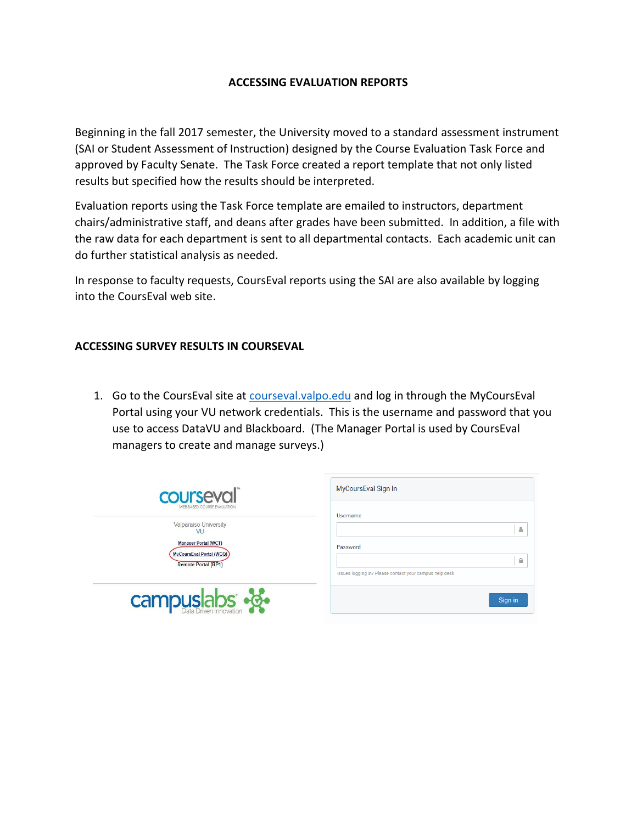## **ACCESSING EVALUATION REPORTS**

Beginning in the fall 2017 semester, the University moved to a standard assessment instrument (SAI or Student Assessment of Instruction) designed by the Course Evaluation Task Force and approved by Faculty Senate. The Task Force created a report template that not only listed results but specified how the results should be interpreted.

Evaluation reports using the Task Force template are emailed to instructors, department chairs/administrative staff, and deans after grades have been submitted. In addition, a file with the raw data for each department is sent to all departmental contacts. Each academic unit can do further statistical analysis as needed.

In response to faculty requests, CoursEval reports using the SAI are also available by logging into the CoursEval web site.

## **ACCESSING SURVEY RESULTS IN COURSEVAL**

1. Go to the CoursEval site at [courseval.valpo.edu](https://courseval.valpo.edu/etw/etalus.htm) and log in through the MyCoursEval Portal using your VU network credentials. This is the username and password that you use to access DataVU and Blackboard. (The Manager Portal is used by CoursEval managers to create and manage surveys.)

| courseval                                                                                               | MyCoursEval Sign In                                                       |  |  |  |
|---------------------------------------------------------------------------------------------------------|---------------------------------------------------------------------------|--|--|--|
| <b>WEB-BASED COURSE EVALUATION</b><br>Valparaiso University                                             | Username<br>Δ                                                             |  |  |  |
| V <sub>1</sub><br><b>Manager Portal (WCT)</b><br>MyCoursEval Portal (WCQ)<br><b>Remote Portal (RP1)</b> | Password<br>₿<br>Issues logging in? Please contact your campus help desk. |  |  |  |
| campuslabs $\frac{1}{2}$                                                                                | Sign in                                                                   |  |  |  |